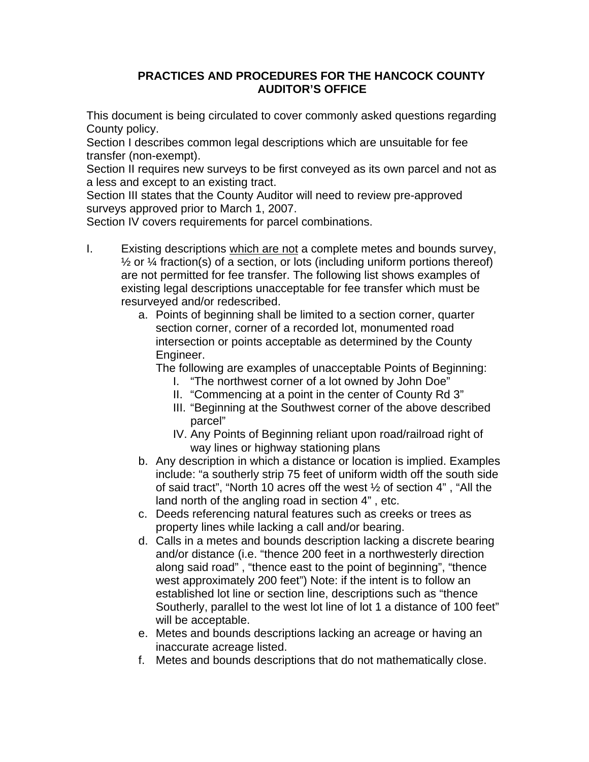## **PRACTICES AND PROCEDURES FOR THE HANCOCK COUNTY AUDITOR'S OFFICE**

This document is being circulated to cover commonly asked questions regarding County policy.

Section I describes common legal descriptions which are unsuitable for fee transfer (non-exempt).

Section II requires new surveys to be first conveyed as its own parcel and not as a less and except to an existing tract.

Section III states that the County Auditor will need to review pre-approved surveys approved prior to March 1, 2007.

Section IV covers requirements for parcel combinations.

- I. Existing descriptions which are not a complete metes and bounds survey.  $\frac{1}{2}$  or  $\frac{1}{4}$  fraction(s) of a section, or lots (including uniform portions thereof) are not permitted for fee transfer. The following list shows examples of existing legal descriptions unacceptable for fee transfer which must be resurveyed and/or redescribed.
	- a. Points of beginning shall be limited to a section corner, quarter section corner, corner of a recorded lot, monumented road intersection or points acceptable as determined by the County Engineer.

The following are examples of unacceptable Points of Beginning:

- I. "The northwest corner of a lot owned by John Doe"
- II. "Commencing at a point in the center of County Rd 3"
- III. "Beginning at the Southwest corner of the above described parcel"
- IV. Any Points of Beginning reliant upon road/railroad right of way lines or highway stationing plans
- b. Any description in which a distance or location is implied. Examples include: "a southerly strip 75 feet of uniform width off the south side of said tract", "North 10 acres off the west ½ of section 4" , "All the land north of the angling road in section 4" , etc.
- c. Deeds referencing natural features such as creeks or trees as property lines while lacking a call and/or bearing.
- d. Calls in a metes and bounds description lacking a discrete bearing and/or distance (i.e. "thence 200 feet in a northwesterly direction along said road" , "thence east to the point of beginning", "thence west approximately 200 feet") Note: if the intent is to follow an established lot line or section line, descriptions such as "thence Southerly, parallel to the west lot line of lot 1 a distance of 100 feet" will be acceptable.
- e. Metes and bounds descriptions lacking an acreage or having an inaccurate acreage listed.
- f. Metes and bounds descriptions that do not mathematically close.